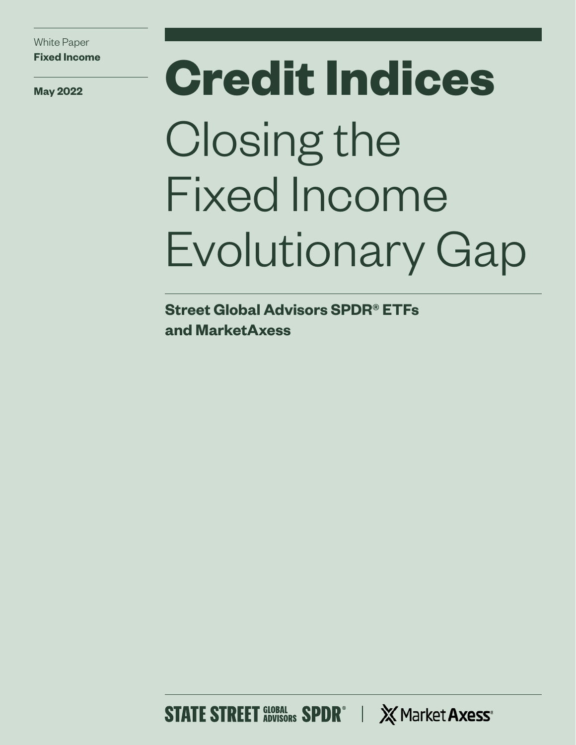White Paper **Fixed Income**

# **May 2022 Credit Indices** Closing the Fixed Income Evolutionary Gap

**Street Global Advisors SPDR® ETFs and MarketAxess**

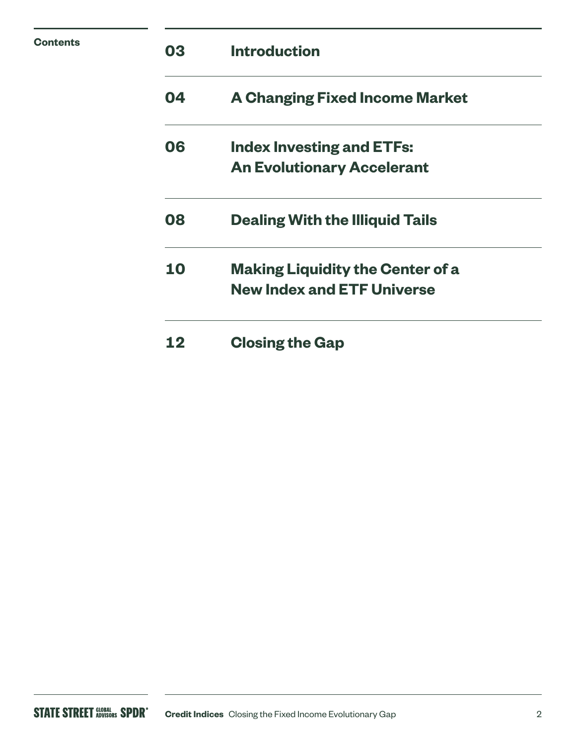| Contents | 03 | <b>Introduction</b>                                                          |  |  |  |  |
|----------|----|------------------------------------------------------------------------------|--|--|--|--|
|          | 04 | <b>A Changing Fixed Income Market</b>                                        |  |  |  |  |
|          | 06 | <b>Index Investing and ETFs:</b>                                             |  |  |  |  |
|          |    | <b>An Evolutionary Accelerant</b>                                            |  |  |  |  |
|          | 08 | <b>Dealing With the Illiquid Tails</b>                                       |  |  |  |  |
|          | 10 | <b>Making Liquidity the Center of a</b><br><b>New Index and ETF Universe</b> |  |  |  |  |
|          | 12 | <b>Closing the Gap</b>                                                       |  |  |  |  |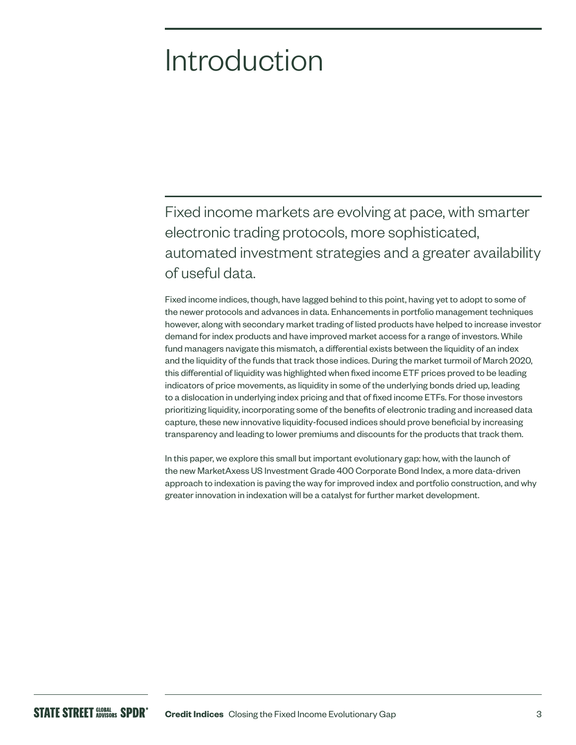### Introduction

Fixed income markets are evolving at pace, with smarter electronic trading protocols, more sophisticated, automated investment strategies and a greater availability of useful data.

Fixed income indices, though, have lagged behind to this point, having yet to adopt to some of the newer protocols and advances in data. Enhancements in portfolio management techniques however, along with secondary market trading of listed products have helped to increase investor demand for index products and have improved market access for a range of investors. While fund managers navigate this mismatch, a differential exists between the liquidity of an index and the liquidity of the funds that track those indices. During the market turmoil of March 2020, this differential of liquidity was highlighted when fixed income ETF prices proved to be leading indicators of price movements, as liquidity in some of the underlying bonds dried up, leading to a dislocation in underlying index pricing and that of fixed income ETFs. For those investors prioritizing liquidity, incorporating some of the benefits of electronic trading and increased data capture, these new innovative liquidity-focused indices should prove beneficial by increasing transparency and leading to lower premiums and discounts for the products that track them.

In this paper, we explore this small but important evolutionary gap: how, with the launch of the new MarketAxess US Investment Grade 400 Corporate Bond Index, a more data-driven approach to indexation is paving the way for improved index and portfolio construction, and why greater innovation in indexation will be a catalyst for further market development.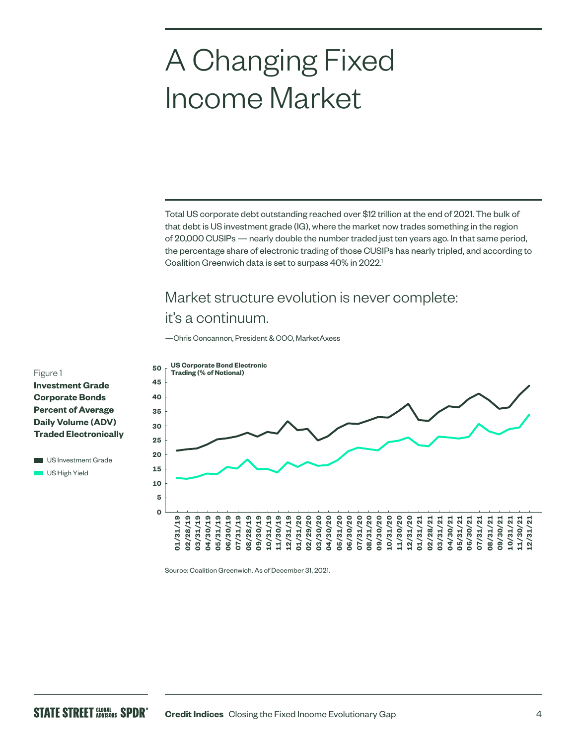### A Changing Fixed Income Market

Total US corporate debt outstanding reached over \$12 trillion at the end of 2021. The bulk of that debt is US investment grade (IG), where the market now trades something in the region of 20,000 CUSIPs — nearly double the number traded just ten years ago. In that same period, the percentage share of electronic trading of those CUSIPs has nearly tripled, and according to Coalition Greenwich data is set to surpass 40% in 2022.<sup>1</sup>

### Market structure evolution is never complete: it's a continuum.

—Chris Concannon, President & COO, MarketAxess



**Investment Grade** 

Figure 1

**Corporate Bonds Percent of Average Daily Volume (ADV) Traded Electronically**

**US** Investment Grade US High Yield

Source: Coalition Greenwich. As of December 31, 2021.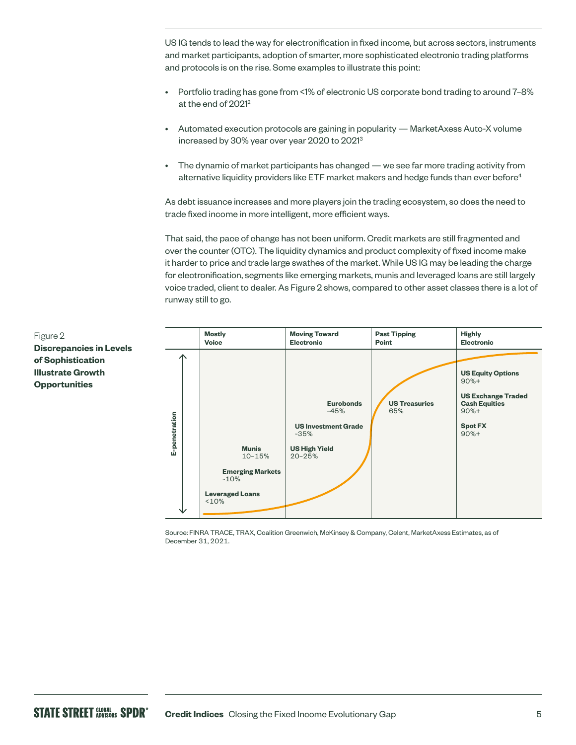US IG tends to lead the way for electronification in fixed income, but across sectors, instruments and market participants, adoption of smarter, more sophisticated electronic trading platforms and protocols is on the rise. Some examples to illustrate this point:

- Portfolio trading has gone from <1% of electronic US corporate bond trading to around 7–8% at the end of 2021<sup>2</sup>
- Automated execution protocols are gaining in popularity MarketAxess Auto-X volume increased by 30% year over year 2020 to 20213
- The dynamic of market participants has changed we see far more trading activity from alternative liquidity providers like ETF market makers and hedge funds than ever before<sup>4</sup>

As debt issuance increases and more players join the trading ecosystem, so does the need to trade fixed income in more intelligent, more efficient ways.

That said, the pace of change has not been uniform. Credit markets are still fragmented and over the counter (OTC). The liquidity dynamics and product complexity of fixed income make it harder to price and trade large swathes of the market. While US IG may be leading the charge for electronification, segments like emerging markets, munis and leveraged loans are still largely voice traded, client to dealer. As Figure 2 shows, compared to other asset classes there is a lot of runway still to go.



Source: FINRA TRACE, TRAX, Coalition Greenwich, McKinsey & Company, Celent, MarketAxess Estimates, as of December 31, 2021.

Figure 2 **Discrepancies in Levels of Sophistication Illustrate Growth Opportunities**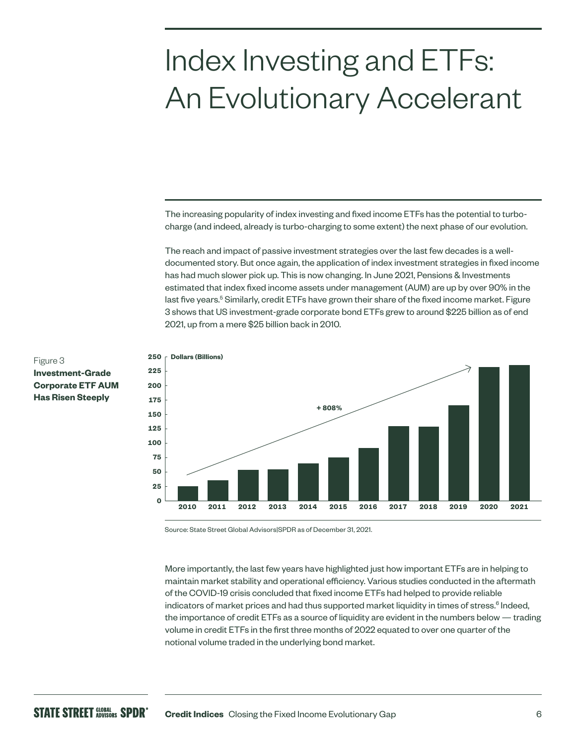### Index Investing and ETFs: An Evolutionary Accelerant

The increasing popularity of index investing and fixed income ETFs has the potential to turbocharge (and indeed, already is turbo-charging to some extent) the next phase of our evolution.

The reach and impact of passive investment strategies over the last few decades is a welldocumented story. But once again, the application of index investment strategies in fixed income has had much slower pick up. This is now changing. In June 2021, Pensions & Investments estimated that index fixed income assets under management (AUM) are up by over 90% in the last five years.<sup>5</sup> Similarly, credit ETFs have grown their share of the fixed income market. Figure 3 shows that US investment-grade corporate bond ETFs grew to around \$225 billion as of end 2021, up from a mere \$25 billion back in 2010.



#### Figure 3 **Investment-Grade Corporate ETF AUM Has Risen Steeply**

Source: State Street Global Advisors|SPDR as of December 31, 2021.

More importantly, the last few years have highlighted just how important ETFs are in helping to maintain market stability and operational efficiency. Various studies conducted in the aftermath of the COVID-19 crisis concluded that fixed income ETFs had helped to provide reliable indicators of market prices and had thus supported market liquidity in times of stress.<sup>6</sup> Indeed, the importance of credit ETFs as a source of liquidity are evident in the numbers below — trading volume in credit ETFs in the first three months of 2022 equated to over one quarter of the notional volume traded in the underlying bond market.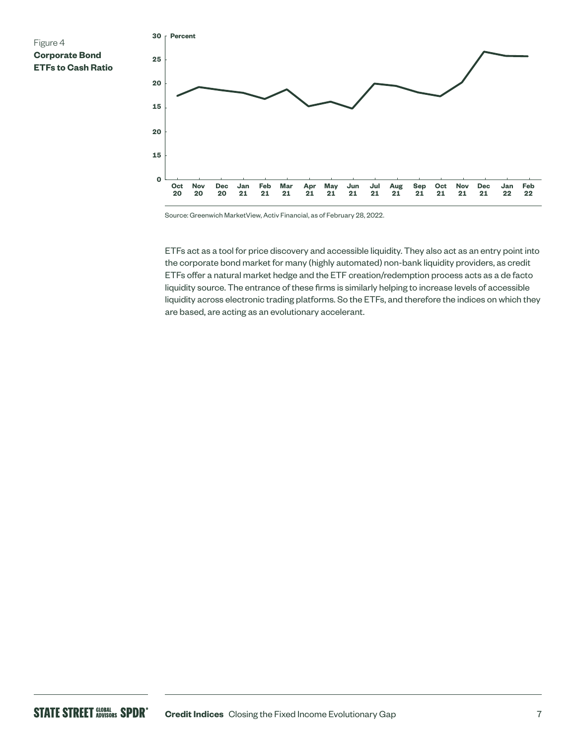



Source: Greenwich MarketView, Activ Financial, as of February 28, 2022.

ETFs act as a tool for price discovery and accessible liquidity. They also act as an entry point into the corporate bond market for many (highly automated) non-bank liquidity providers, as credit ETFs offer a natural market hedge and the ETF creation/redemption process acts as a de facto liquidity source. The entrance of these firms is similarly helping to increase levels of accessible liquidity across electronic trading platforms. So the ETFs, and therefore the indices on which they are based, are acting as an evolutionary accelerant.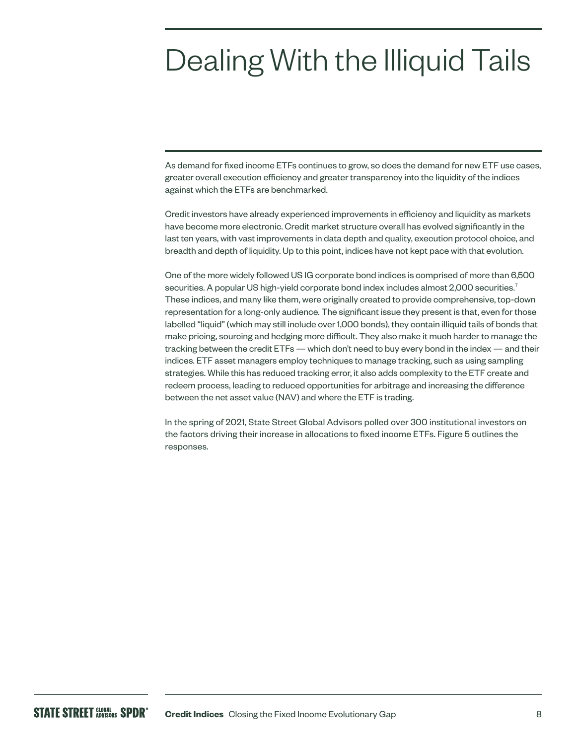### Dealing With the Illiquid Tails

As demand for fixed income ETFs continues to grow, so does the demand for new ETF use cases, greater overall execution efficiency and greater transparency into the liquidity of the indices against which the ETFs are benchmarked.

Credit investors have already experienced improvements in efficiency and liquidity as markets have become more electronic. Credit market structure overall has evolved significantly in the last ten years, with vast improvements in data depth and quality, execution protocol choice, and breadth and depth of liquidity. Up to this point, indices have not kept pace with that evolution.

One of the more widely followed US IG corporate bond indices is comprised of more than 6,500 securities. A popular US high-yield corporate bond index includes almost 2,000 securities.<sup>7</sup> These indices, and many like them, were originally created to provide comprehensive, top-down representation for a long-only audience. The significant issue they present is that, even for those labelled "liquid" (which may still include over 1,000 bonds), they contain illiquid tails of bonds that make pricing, sourcing and hedging more difficult. They also make it much harder to manage the tracking between the credit ETFs — which don't need to buy every bond in the index — and their indices. ETF asset managers employ techniques to manage tracking, such as using sampling strategies. While this has reduced tracking error, it also adds complexity to the ETF create and redeem process, leading to reduced opportunities for arbitrage and increasing the difference between the net asset value (NAV) and where the ETF is trading.

In the spring of 2021, State Street Global Advisors polled over 300 institutional investors on the factors driving their increase in allocations to fixed income ETFs. Figure 5 outlines the responses.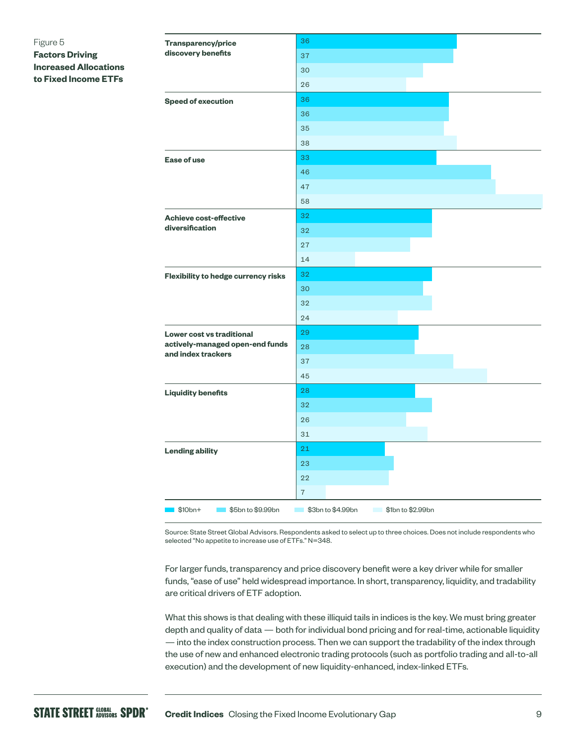#### Figure 5 **Factors Driving Increased Allocations to Fixed Income ETFs**

| <b>Transparency/price</b>                             | 36                                     |
|-------------------------------------------------------|----------------------------------------|
| discovery benefits                                    | 37                                     |
|                                                       | 30                                     |
|                                                       | 26                                     |
| <b>Speed of execution</b>                             | 36                                     |
|                                                       | 36                                     |
|                                                       | 35                                     |
|                                                       | 38                                     |
| Ease of use                                           | 33                                     |
|                                                       | 46                                     |
|                                                       | 47                                     |
|                                                       | 58                                     |
| <b>Achieve cost-effective</b>                         | 32                                     |
| diversification                                       | 32                                     |
|                                                       | 27                                     |
|                                                       | 14                                     |
| Flexibility to hedge currency risks                   | 32                                     |
|                                                       | 30                                     |
|                                                       | 32                                     |
|                                                       | 24                                     |
| Lower cost vs traditional                             | 29                                     |
| actively-managed open-end funds<br>and index trackers | 28                                     |
|                                                       | 37                                     |
|                                                       | 45                                     |
| <b>Liquidity benefits</b>                             | 28                                     |
|                                                       | 32                                     |
|                                                       | 26                                     |
|                                                       | 31                                     |
| <b>Lending ability</b>                                | 21                                     |
|                                                       | 23                                     |
|                                                       | 22                                     |
|                                                       | $\overline{7}$                         |
| $\blacksquare$ \$10bn+<br>\$5bn to \$9.99bn           | \$3bn to \$4.99bn<br>\$1bn to \$2.99bn |

Source: State Street Global Advisors. Respondents asked to select up to three choices. Does not include respondents who selected "No appetite to increase use of ETFs." N=348.

For larger funds, transparency and price discovery benefit were a key driver while for smaller funds, "ease of use" held widespread importance. In short, transparency, liquidity, and tradability are critical drivers of ETF adoption.

What this shows is that dealing with these illiquid tails in indices is the key. We must bring greater depth and quality of data — both for individual bond pricing and for real-time, actionable liquidity — into the index construction process. Then we can support the tradability of the index through the use of new and enhanced electronic trading protocols (such as portfolio trading and all-to-all execution) and the development of new liquidity-enhanced, index-linked ETFs.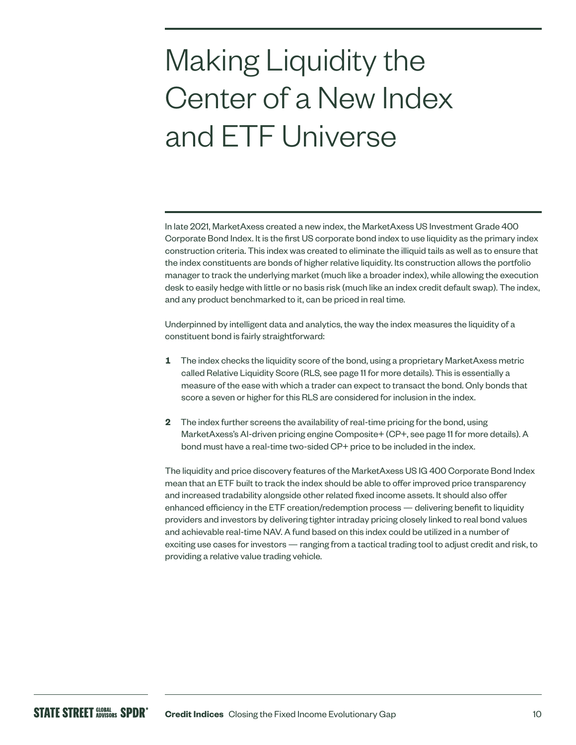## Making Liquidity the Center of a New Index and ETF Universe

In late 2021, MarketAxess created a new index, the MarketAxess US Investment Grade 400 Corporate Bond Index. It is the first US corporate bond index to use liquidity as the primary index construction criteria. This index was created to eliminate the illiquid tails as well as to ensure that the index constituents are bonds of higher relative liquidity. Its construction allows the portfolio manager to track the underlying market (much like a broader index), while allowing the execution desk to easily hedge with little or no basis risk (much like an index credit default swap). The index, and any product benchmarked to it, can be priced in real time.

Underpinned by intelligent data and analytics, the way the index measures the liquidity of a constituent bond is fairly straightforward:

- **1** The index checks the liquidity score of the bond, using a proprietary MarketAxess metric called Relative Liquidity Score (RLS, see page 11 for more details). This is essentially a measure of the ease with which a trader can expect to transact the bond. Only bonds that score a seven or higher for this RLS are considered for inclusion in the index.
- **2** The index further screens the availability of real-time pricing for the bond, using MarketAxess's AI-driven pricing engine Composite+ (CP+, see page 11 for more details). A bond must have a real-time two-sided CP+ price to be included in the index.

The liquidity and price discovery features of the MarketAxess US IG 400 Corporate Bond Index mean that an ETF built to track the index should be able to offer improved price transparency and increased tradability alongside other related fixed income assets. It should also offer enhanced efficiency in the ETF creation/redemption process — delivering benefit to liquidity providers and investors by delivering tighter intraday pricing closely linked to real bond values and achievable real-time NAV. A fund based on this index could be utilized in a number of exciting use cases for investors — ranging from a tactical trading tool to adjust credit and risk, to providing a relative value trading vehicle.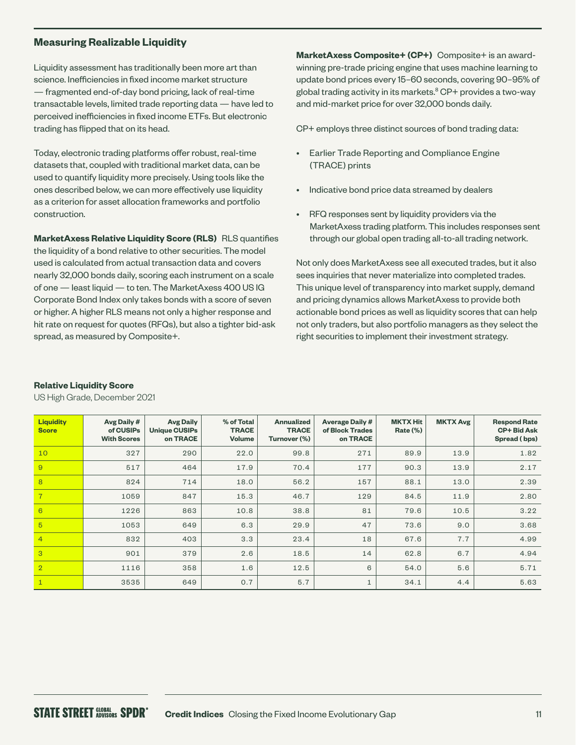#### **Measuring Realizable Liquidity**

Liquidity assessment has traditionally been more art than science. Inefficiencies in fixed income market structure — fragmented end-of-day bond pricing, lack of real-time transactable levels, limited trade reporting data — have led to perceived inefficiencies in fixed income ETFs. But electronic trading has flipped that on its head.

Today, electronic trading platforms offer robust, real-time datasets that, coupled with traditional market data, can be used to quantify liquidity more precisely. Using tools like the ones described below, we can more effectively use liquidity as a criterion for asset allocation frameworks and portfolio construction.

**MarketAxess Relative Liquidity Score (RLS)** RLS quantifies the liquidity of a bond relative to other securities. The model used is calculated from actual transaction data and covers nearly 32,000 bonds daily, scoring each instrument on a scale of one — least liquid — to ten. The MarketAxess 400 US IG Corporate Bond Index only takes bonds with a score of seven or higher. A higher RLS means not only a higher response and hit rate on request for quotes (RFQs), but also a tighter bid-ask spread, as measured by Composite+.

**MarketAxess Composite+ (CP+)** Composite+ is an awardwinning pre-trade pricing engine that uses machine learning to update bond prices every 15–60 seconds, covering 90–95% of global trading activity in its markets.<sup>8</sup> CP+ provides a two-way and mid-market price for over 32,000 bonds daily.

CP+ employs three distinct sources of bond trading data:

- Earlier Trade Reporting and Compliance Engine (TRACE) prints
- Indicative bond price data streamed by dealers
- RFQ responses sent by liquidity providers via the MarketAxess trading platform. This includes responses sent through our global open trading all-to-all trading network.

Not only does MarketAxess see all executed trades, but it also sees inquiries that never materialize into completed trades. This unique level of transparency into market supply, demand and pricing dynamics allows MarketAxess to provide both actionable bond prices as well as liquidity scores that can help not only traders, but also portfolio managers as they select the right securities to implement their investment strategy.

| <b>Liquidity</b><br><b>Score</b> | Avg Daily #<br>of CUSIPs<br><b>With Scores</b> | <b>Avg Daily</b><br><b>Unique CUSIPs</b><br>on TRACE | % of Total<br><b>TRACE</b><br><b>Volume</b> | <b>Annualized</b><br><b>TRACE</b><br>Turnover (%) | <b>Average Daily #</b><br>of Block Trades<br>on TRACE | <b>MKTX Hit</b><br><b>Rate (%)</b> | <b>MKTX Avg</b> | <b>Respond Rate</b><br><b>CP+ Bid Ask</b><br>Spread (bps) |
|----------------------------------|------------------------------------------------|------------------------------------------------------|---------------------------------------------|---------------------------------------------------|-------------------------------------------------------|------------------------------------|-----------------|-----------------------------------------------------------|
| 10                               | 327                                            | 290                                                  | 22.0                                        | 99.8                                              | 271                                                   | 89.9                               | 13.9            | 1.82                                                      |
| 9                                | 517                                            | 464                                                  | 17.9                                        | 70.4                                              | 177                                                   | 90.3                               | 13.9            | 2.17                                                      |
| 8                                | 824                                            | 714                                                  | 18.0                                        | 56.2                                              | 157                                                   | 88.1                               | 13.0            | 2.39                                                      |
| $\overline{7}$                   | 1059                                           | 847                                                  | 15.3                                        | 46.7                                              | 129                                                   | 84.5                               | 11.9            | 2.80                                                      |
| 6                                | 1226                                           | 863                                                  | 10.8                                        | 38.8                                              | 81                                                    | 79.6                               | 10.5            | 3.22                                                      |
| $\overline{5}$                   | 1053                                           | 649                                                  | 6.3                                         | 29.9                                              | 47                                                    | 73.6                               | 9.0             | 3.68                                                      |
| $\overline{4}$                   | 832                                            | 403                                                  | 3.3                                         | 23.4                                              | 18                                                    | 67.6                               | 7.7             | 4.99                                                      |
| 3                                | 901                                            | 379                                                  | 2.6                                         | 18.5                                              | 14                                                    | 62.8                               | 6.7             | 4.94                                                      |
| $\overline{2}$                   | 1116                                           | 358                                                  | 1.6                                         | 12.5                                              | 6                                                     | 54.0                               | 5.6             | 5.71                                                      |
|                                  | 3535                                           | 649                                                  | 0.7                                         | 5.7                                               | $\mathbf{1}$                                          | 34.1                               | 4.4             | 5.63                                                      |

#### **Relative Liquidity Score**

US High Grade, December 2021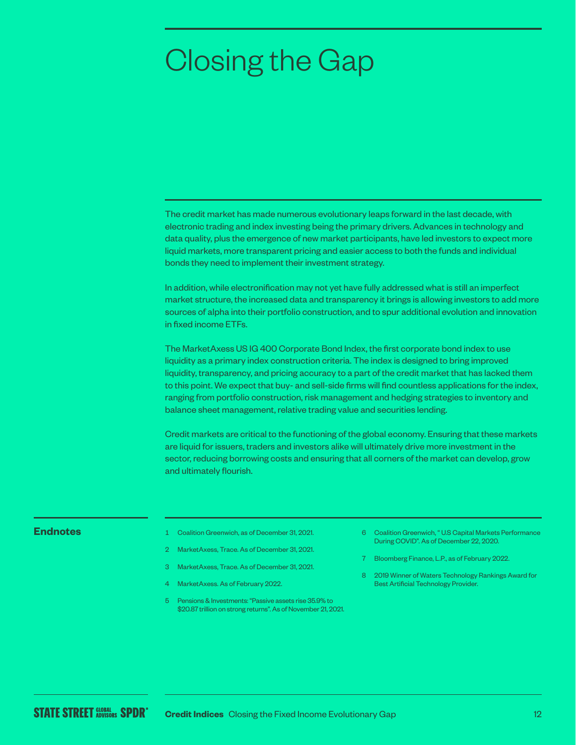### Closing the Gap

The credit market has made numerous evolutionary leaps forward in the last decade, with electronic trading and index investing being the primary drivers. Advances in technology and data quality, plus the emergence of new market participants, have led investors to expect more liquid markets, more transparent pricing and easier access to both the funds and individual bonds they need to implement their investment strategy.

In addition, while electronification may not yet have fully addressed what is still an imperfect market structure, the increased data and transparency it brings is allowing investors to add more sources of alpha into their portfolio construction, and to spur additional evolution and innovation in fixed income ETFs.

The MarketAxess US IG 400 Corporate Bond Index, the first corporate bond index to use liquidity as a primary index construction criteria. The index is designed to bring improved liquidity, transparency, and pricing accuracy to a part of the credit market that has lacked them to this point. We expect that buy- and sell-side firms will find countless applications for the index, ranging from portfolio construction, risk management and hedging strategies to inventory and balance sheet management, relative trading value and securities lending.

Credit markets are critical to the functioning of the global economy. Ensuring that these markets are liquid for issuers, traders and investors alike will ultimately drive more investment in the sector, reducing borrowing costs and ensuring that all corners of the market can develop, grow and ultimately flourish.

- **Endnotes** 1 Coalition Greenwich, as of December 31, 2021.
	- 2 MarketAxess, Trace. As of December 31, 2021.
	- 3 MarketAxess, Trace. As of December 31, 2021.
	- MarketAxess. As of February 2022.
	- 5 Pensions & Investments: "Passive assets rise 35.9% to \$20.87 trillion on strong returns". As of November 21, 2021.
- 6 Coalition Greenwich, " U.S Capital Markets Performance During COVID". As of December 22, 2020.
- 7 Bloomberg Finance, L.P., as of February 2022.
- 8 2019 Winner of Waters Technology Rankings Award for Best Artificial Technology Provider.